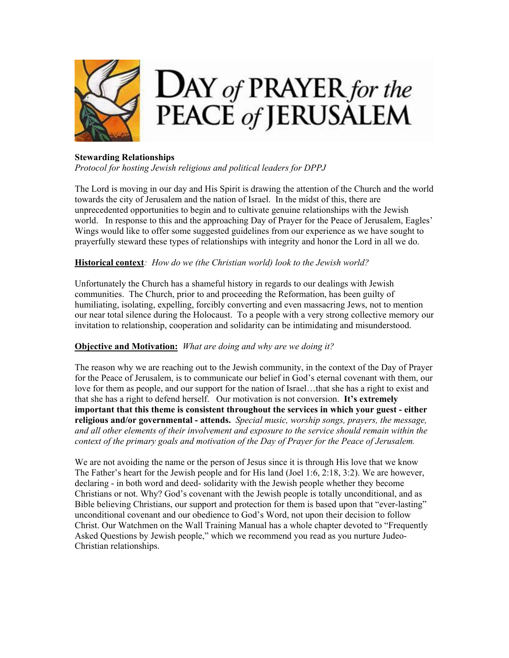

## **Stewarding Relationships**

*Protocol for hosting Jewish religious and political leaders for DPPJ* 

The Lord is moving in our day and His Spirit is drawing the attention of the Church and the world towards the city of Jerusalem and the nation of Israel. In the midst of this, there are unprecedented opportunities to begin and to cultivate genuine relationships with the Jewish world. In response to this and the approaching Day of Prayer for the Peace of Jerusalem, Eagles' Wings would like to offer some suggested guidelines from our experience as we have sought to prayerfully steward these types of relationships with integrity and honor the Lord in all we do.

# **Historical context***: How do we (the Christian world) look to the Jewish world?*

Unfortunately the Church has a shameful history in regards to our dealings with Jewish communities. The Church, prior to and proceeding the Reformation, has been guilty of humiliating, isolating, expelling, forcibly converting and even massacring Jews, not to mention our near total silence during the Holocaust. To a people with a very strong collective memory our invitation to relationship, cooperation and solidarity can be intimidating and misunderstood.

## **Objective and Motivation:** *What are doing and why are we doing it?*

The reason why we are reaching out to the Jewish community, in the context of the Day of Prayer for the Peace of Jerusalem, is to communicate our belief in God's eternal covenant with them, our love for them as people, and our support for the nation of Israel...that she has a right to exist and that she has a right to defend herself. Our motivation is not conversion. **It's extremely important that this theme is consistent throughout the services in which your guest - either religious and/or governmental - attends.** *Special music, worship songs, prayers, the message, and all other elements of their involvement and exposure to the service should remain within the context of the primary goals and motivation of the Day of Prayer for the Peace of Jerusalem.*

We are not avoiding the name or the person of Jesus since it is through His love that we know The Father's heart for the Jewish people and for His land (Joel 1:6, 2:18, 3:2). We are however, declaring - in both word and deed- solidarity with the Jewish people whether they become Christians or not. Why? God's covenant with the Jewish people is totally unconditional, and as Bible believing Christians, our support and protection for them is based upon that "ever-lasting" unconditional covenant and our obedience to God's Word, not upon their decision to follow Christ. Our Watchmen on the Wall Training Manual has a whole chapter devoted to "Frequently Asked Questions by Jewish people," which we recommend you read as you nurture Judeo-Christian relationships.